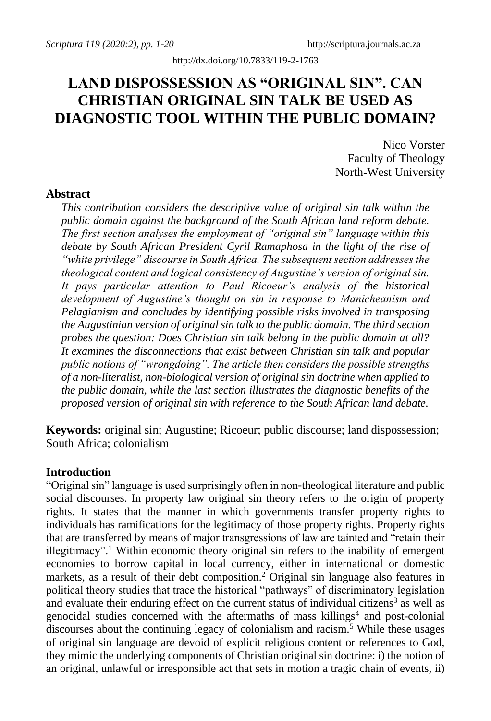# **LAND DISPOSSESSION AS "ORIGINAL SIN". CAN CHRISTIAN ORIGINAL SIN TALK BE USED AS DIAGNOSTIC TOOL WITHIN THE PUBLIC DOMAIN?**

Nico Vorster Faculty of Theology North-West University

## **Abstract**

*This contribution considers the descriptive value of original sin talk within the public domain against the background of the South African land reform debate. The first section analyses the employment of "original sin" language within this debate by South African President Cyril Ramaphosa in the light of the rise of "white privilege" discourse in South Africa. The subsequent section addresses the theological content and logical consistency of Augustine's version of original sin. It pays particular attention to Paul Ricoeur's analysis of the historical development of Augustine's thought on sin in response to Manicheanism and Pelagianism and concludes by identifying possible risks involved in transposing the Augustinian version of original sin talk to the public domain. The third section probes the question: Does Christian sin talk belong in the public domain at all? It examines the disconnections that exist between Christian sin talk and popular public notions of "wrongdoing". The article then considers the possible strengths of a non-literalist, non-biological version of original sin doctrine when applied to the public domain, while the last section illustrates the diagnostic benefits of the proposed version of original sin with reference to the South African land debate.*

**Keywords:** original sin; Augustine; Ricoeur; public discourse; land dispossession; South Africa; colonialism

### **Introduction**

"Original sin" language is used surprisingly often in non-theological literature and public social discourses. In property law original sin theory refers to the origin of property rights. It states that the manner in which governments transfer property rights to individuals has ramifications for the legitimacy of those property rights. Property rights that are transferred by means of major transgressions of law are tainted and "retain their illegitimacy".<sup>1</sup> Within economic theory original sin refers to the inability of emergent economies to borrow capital in local currency, either in international or domestic markets, as a result of their debt composition.<sup>2</sup> Original sin language also features in political theory studies that trace the historical "pathways" of discriminatory legislation and evaluate their enduring effect on the current status of individual citizens<sup>3</sup> as well as genocidal studies concerned with the aftermaths of mass killings<sup>4</sup> and post-colonial discourses about the continuing legacy of colonialism and racism.<sup>5</sup> While these usages of original sin language are devoid of explicit religious content or references to God, they mimic the underlying components of Christian original sin doctrine: i) the notion of an original, unlawful or irresponsible act that sets in motion a tragic chain of events, ii)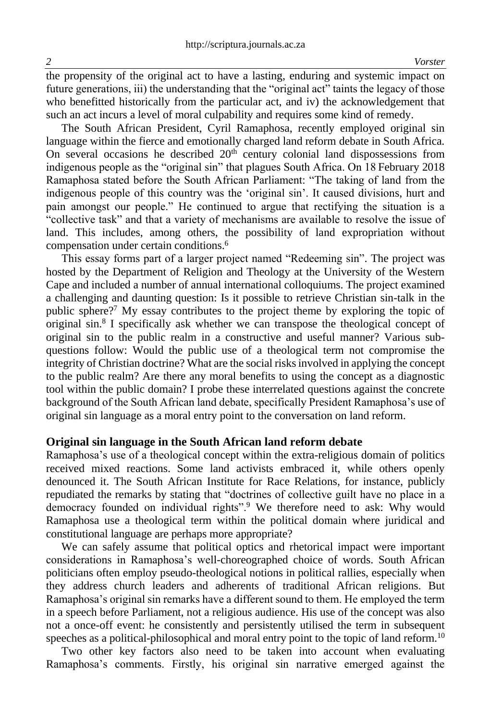the propensity of the original act to have a lasting, enduring and systemic impact on future generations, iii) the understanding that the "original act" taints the legacy of those who benefitted historically from the particular act, and iv) the acknowledgement that such an act incurs a level of moral culpability and requires some kind of remedy.

The South African President, Cyril Ramaphosa, recently employed original sin language within the fierce and emotionally charged land reform debate in South Africa. On several occasions he described  $20<sup>th</sup>$  century colonial land dispossessions from indigenous people as the "original sin" that plagues South Africa. On 18 February 2018 Ramaphosa stated before the South African Parliament: "The taking of land from the indigenous people of this country was the 'original sin'. It caused divisions, hurt and pain amongst our people." He continued to argue that rectifying the situation is a "collective task" and that a variety of mechanisms are available to resolve the issue of land. This includes, among others, the possibility of land expropriation without compensation under certain conditions.<sup>6</sup>

This essay forms part of a larger project named "Redeeming sin". The project was hosted by the Department of Religion and Theology at the University of the Western Cape and included a number of annual international colloquiums. The project examined a challenging and daunting question: Is it possible to retrieve Christian sin-talk in the public sphere?<sup>7</sup> My essay contributes to the project theme by exploring the topic of original sin.<sup>8</sup> I specifically ask whether we can transpose the theological concept of original sin to the public realm in a constructive and useful manner? Various subquestions follow: Would the public use of a theological term not compromise the integrity of Christian doctrine? What are the social risks involved in applying the concept to the public realm? Are there any moral benefits to using the concept as a diagnostic tool within the public domain? I probe these interrelated questions against the concrete background of the South African land debate, specifically President Ramaphosa's use of original sin language as a moral entry point to the conversation on land reform.

### **Original sin language in the South African land reform debate**

Ramaphosa's use of a theological concept within the extra-religious domain of politics received mixed reactions. Some land activists embraced it, while others openly denounced it. The South African Institute for Race Relations, for instance, publicly repudiated the remarks by stating that "doctrines of collective guilt have no place in a democracy founded on individual rights".<sup>9</sup> We therefore need to ask: Why would Ramaphosa use a theological term within the political domain where juridical and constitutional language are perhaps more appropriate?

We can safely assume that political optics and rhetorical impact were important considerations in Ramaphosa's well-choreographed choice of words. South African politicians often employ pseudo-theological notions in political rallies, especially when they address church leaders and adherents of traditional African religions. But Ramaphosa's original sin remarks have a different sound to them. He employed the term in a speech before Parliament, not a religious audience. His use of the concept was also not a once-off event: he consistently and persistently utilised the term in subsequent speeches as a political-philosophical and moral entry point to the topic of land reform.<sup>10</sup>

Two other key factors also need to be taken into account when evaluating Ramaphosa's comments. Firstly, his original sin narrative emerged against the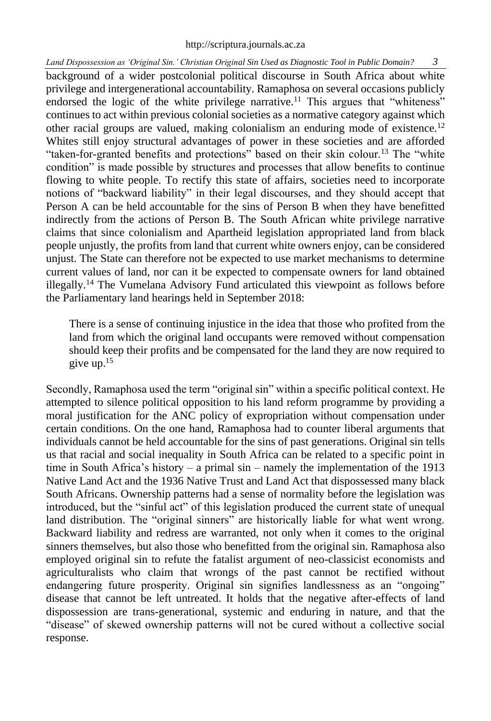## [http://scriptura.journals.ac.za](http://scriptura.journals.ac.za/)

*Land Dispossession as 'Original Sin.' Christian Original Sin Used as Diagnostic Tool in Public Domain? 3*

background of a wider postcolonial political discourse in South Africa about white privilege and intergenerational accountability. Ramaphosa on several occasions publicly endorsed the logic of the white privilege narrative.<sup>11</sup> This argues that "whiteness" continues to act within previous colonial societies as a normative category against which other racial groups are valued, making colonialism an enduring mode of existence.<sup>12</sup> Whites still enjoy structural advantages of power in these societies and are afforded "taken-for-granted benefits and protections" based on their skin colour.<sup>13</sup> The "white condition" is made possible by structures and processes that allow benefits to continue flowing to white people. To rectify this state of affairs, societies need to incorporate notions of "backward liability" in their legal discourses, and they should accept that Person A can be held accountable for the sins of Person B when they have benefitted indirectly from the actions of Person B. The South African white privilege narrative claims that since colonialism and Apartheid legislation appropriated land from black people unjustly, the profits from land that current white owners enjoy, can be considered unjust. The State can therefore not be expected to use market mechanisms to determine current values of land, nor can it be expected to compensate owners for land obtained illegally.<sup>14</sup> The Vumelana Advisory Fund articulated this viewpoint as follows before the Parliamentary land hearings held in September 2018:

There is a sense of continuing injustice in the idea that those who profited from the land from which the original land occupants were removed without compensation should keep their profits and be compensated for the land they are now required to give up.<sup>15</sup>

Secondly, Ramaphosa used the term "original sin" within a specific political context. He attempted to silence political opposition to his land reform programme by providing a moral justification for the ANC policy of expropriation without compensation under certain conditions. On the one hand, Ramaphosa had to counter liberal arguments that individuals cannot be held accountable for the sins of past generations. Original sin tells us that racial and social inequality in South Africa can be related to a specific point in time in South Africa's history – a primal sin – namely the implementation of the 1913 Native Land Act and the 1936 Native Trust and Land Act that dispossessed many black South Africans. Ownership patterns had a sense of normality before the legislation was introduced, but the "sinful act" of this legislation produced the current state of unequal land distribution. The "original sinners" are historically liable for what went wrong. Backward liability and redress are warranted, not only when it comes to the original sinners themselves, but also those who benefitted from the original sin. Ramaphosa also employed original sin to refute the fatalist argument of neo-classicist economists and agriculturalists who claim that wrongs of the past cannot be rectified without endangering future prosperity. Original sin signifies landlessness as an "ongoing" disease that cannot be left untreated. It holds that the negative after-effects of land dispossession are trans-generational, systemic and enduring in nature, and that the "disease" of skewed ownership patterns will not be cured without a collective social response.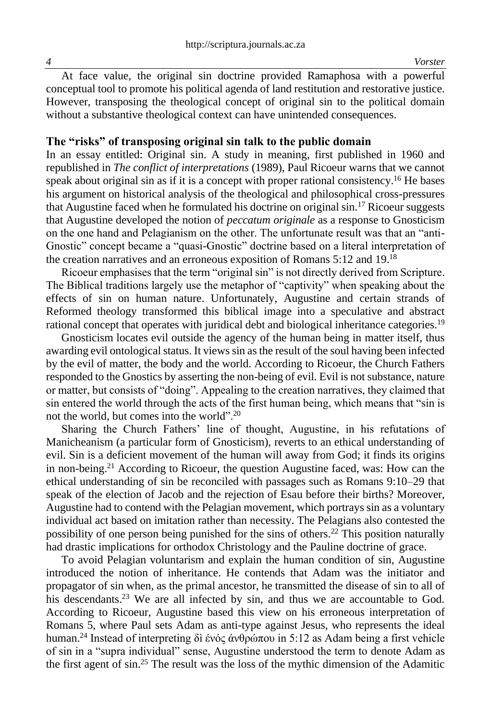At face value, the original sin doctrine provided Ramaphosa with a powerful conceptual tool to promote his political agenda of land restitution and restorative justice. However, transposing the theological concept of original sin to the political domain without a substantive theological context can have unintended consequences.

## **The "risks" of transposing original sin talk to the public domain**

In an essay entitled: Original sin. A study in meaning, first published in 1960 and republished in *The conflict of interpretations* (1989), Paul Ricoeur warns that we cannot speak about original sin as if it is a concept with proper rational consistency.<sup>16</sup> He bases his argument on historical analysis of the theological and philosophical cross-pressures that Augustine faced when he formulated his doctrine on original  $\sin^{-1}$  Ricoeur suggests that Augustine developed the notion of *peccatum originale* as a response to Gnosticism on the one hand and Pelagianism on the other. The unfortunate result was that an "anti-Gnostic" concept became a "quasi-Gnostic" doctrine based on a literal interpretation of the creation narratives and an erroneous exposition of Romans 5:12 and 19.<sup>18</sup>

Ricoeur emphasises that the term "original sin" is not directly derived from Scripture. The Biblical traditions largely use the metaphor of "captivity" when speaking about the effects of sin on human nature. Unfortunately, Augustine and certain strands of Reformed theology transformed this biblical image into a speculative and abstract rational concept that operates with juridical debt and biological inheritance categories.<sup>19</sup>

Gnosticism locates evil outside the agency of the human being in matter itself, thus awarding evil ontological status. It views sin as the result of the soul having been infected by the evil of matter, the body and the world. According to Ricoeur, the Church Fathers responded to the Gnostics by asserting the non-being of evil. Evil is not substance, nature or matter, but consists of "doing". Appealing to the creation narratives, they claimed that sin entered the world through the acts of the first human being, which means that "sin is not the world, but comes into the world".<sup>20</sup>

Sharing the Church Fathers' line of thought, Augustine, in his refutations of Manicheanism (a particular form of Gnosticism), reverts to an ethical understanding of evil. Sin is a deficient movement of the human will away from God; it finds its origins in non-being.<sup>21</sup> According to Ricoeur, the question Augustine faced, was: How can the ethical understanding of sin be reconciled with passages such as Romans 9:10–29 that speak of the election of Jacob and the rejection of Esau before their births? Moreover, Augustine had to contend with the Pelagian movement, which portrays sin as a voluntary individual act based on imitation rather than necessity. The Pelagians also contested the possibility of one person being punished for the sins of others.<sup>22</sup> This position naturally had drastic implications for orthodox Christology and the Pauline doctrine of grace.

To avoid Pelagian voluntarism and explain the human condition of sin, Augustine introduced the notion of inheritance. He contends that Adam was the initiator and propagator of sin when, as the primal ancestor, he transmitted the disease of sin to all of his descendants.<sup>23</sup> We are all infected by sin, and thus we are accountable to God. According to Ricoeur, Augustine based this view on his erroneous interpretation of Romans 5, where Paul sets Adam as anti-type against Jesus, who represents the ideal human.<sup>24</sup> Instead of interpreting δì ένός άνθρώπου in 5:12 as Adam being a first vehicle of sin in a "supra individual" sense, Augustine understood the term to denote Adam as the first agent of sin.<sup>25</sup> The result was the loss of the mythic dimension of the Adamitic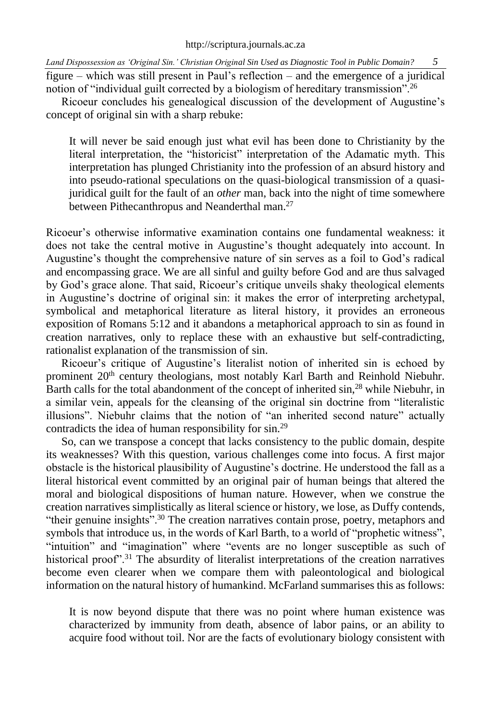figure – which was still present in Paul's reflection – and the emergence of a juridical notion of "individual guilt corrected by a biologism of hereditary transmission".<sup>26</sup>

Ricoeur concludes his genealogical discussion of the development of Augustine's concept of original sin with a sharp rebuke:

It will never be said enough just what evil has been done to Christianity by the literal interpretation, the "historicist" interpretation of the Adamatic myth. This interpretation has plunged Christianity into the profession of an absurd history and into pseudo-rational speculations on the quasi-biological transmission of a quasijuridical guilt for the fault of an *other* man, back into the night of time somewhere between Pithecanthropus and Neanderthal man.<sup>27</sup>

Ricoeur's otherwise informative examination contains one fundamental weakness: it does not take the central motive in Augustine's thought adequately into account. In Augustine's thought the comprehensive nature of sin serves as a foil to God's radical and encompassing grace. We are all sinful and guilty before God and are thus salvaged by God's grace alone. That said, Ricoeur's critique unveils shaky theological elements in Augustine's doctrine of original sin: it makes the error of interpreting archetypal, symbolical and metaphorical literature as literal history, it provides an erroneous exposition of Romans 5:12 and it abandons a metaphorical approach to sin as found in creation narratives, only to replace these with an exhaustive but self-contradicting, rationalist explanation of the transmission of sin.

Ricoeur's critique of Augustine's literalist notion of inherited sin is echoed by prominent 20th century theologians, most notably Karl Barth and Reinhold Niebuhr. Barth calls for the total abandonment of the concept of inherited sin,<sup>28</sup> while Niebuhr, in a similar vein, appeals for the cleansing of the original sin doctrine from "literalistic illusions". Niebuhr claims that the notion of "an inherited second nature" actually contradicts the idea of human responsibility for sin.<sup>29</sup>

So, can we transpose a concept that lacks consistency to the public domain, despite its weaknesses? With this question, various challenges come into focus. A first major obstacle is the historical plausibility of Augustine's doctrine. He understood the fall as a literal historical event committed by an original pair of human beings that altered the moral and biological dispositions of human nature. However, when we construe the creation narratives simplistically as literal science or history, we lose, as Duffy contends, "their genuine insights".<sup>30</sup> The creation narratives contain prose, poetry, metaphors and symbols that introduce us, in the words of Karl Barth, to a world of "prophetic witness", "intuition" and "imagination" where "events are no longer susceptible as such of historical proof".<sup>31</sup> The absurdity of literalist interpretations of the creation narratives become even clearer when we compare them with paleontological and biological information on the natural history of humankind. McFarland summarises this as follows:

It is now beyond dispute that there was no point where human existence was characterized by immunity from death, absence of labor pains, or an ability to acquire food without toil. Nor are the facts of evolutionary biology consistent with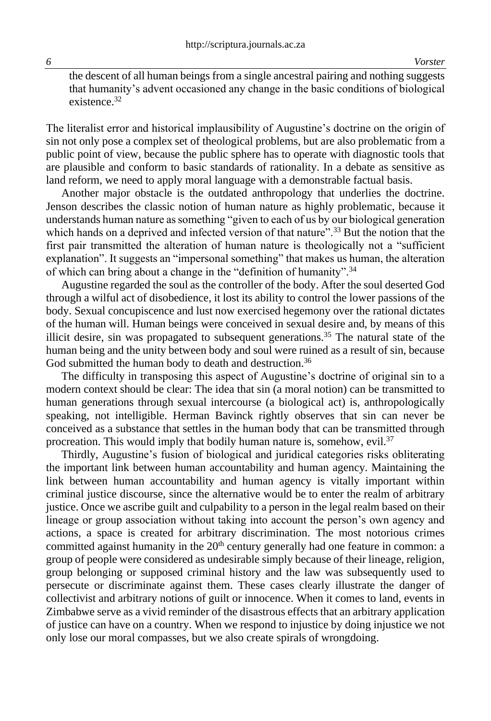the descent of all human beings from a single ancestral pairing and nothing suggests that humanity's advent occasioned any change in the basic conditions of biological existence 32

The literalist error and historical implausibility of Augustine's doctrine on the origin of sin not only pose a complex set of theological problems, but are also problematic from a public point of view, because the public sphere has to operate with diagnostic tools that are plausible and conform to basic standards of rationality. In a debate as sensitive as land reform, we need to apply moral language with a demonstrable factual basis.

Another major obstacle is the outdated anthropology that underlies the doctrine. Jenson describes the classic notion of human nature as highly problematic, because it understands human nature as something "given to each of us by our biological generation which hands on a deprived and infected version of that nature".<sup>33</sup> But the notion that the first pair transmitted the alteration of human nature is theologically not a "sufficient explanation". It suggests an "impersonal something" that makes us human, the alteration of which can bring about a change in the "definition of humanity".<sup>34</sup>

Augustine regarded the soul as the controller of the body. After the soul deserted God through a wilful act of disobedience, it lost its ability to control the lower passions of the body. Sexual concupiscence and lust now exercised hegemony over the rational dictates of the human will. Human beings were conceived in sexual desire and, by means of this illicit desire, sin was propagated to subsequent generations.<sup>35</sup> The natural state of the human being and the unity between body and soul were ruined as a result of sin, because God submitted the human body to death and destruction.<sup>36</sup>

The difficulty in transposing this aspect of Augustine's doctrine of original sin to a modern context should be clear: The idea that sin (a moral notion) can be transmitted to human generations through sexual intercourse (a biological act) is, anthropologically speaking, not intelligible. Herman Bavinck rightly observes that sin can never be conceived as a substance that settles in the human body that can be transmitted through procreation. This would imply that bodily human nature is, somehow, evil.<sup>37</sup>

Thirdly, Augustine's fusion of biological and juridical categories risks obliterating the important link between human accountability and human agency. Maintaining the link between human accountability and human agency is vitally important within criminal justice discourse, since the alternative would be to enter the realm of arbitrary justice. Once we ascribe guilt and culpability to a person in the legal realm based on their lineage or group association without taking into account the person's own agency and actions, a space is created for arbitrary discrimination. The most notorious crimes committed against humanity in the 20<sup>th</sup> century generally had one feature in common: a group of people were considered as undesirable simply because of their lineage, religion, group belonging or supposed criminal history and the law was subsequently used to persecute or discriminate against them. These cases clearly illustrate the danger of collectivist and arbitrary notions of guilt or innocence. When it comes to land, events in Zimbabwe serve as a vivid reminder of the disastrous effects that an arbitrary application of justice can have on a country. When we respond to injustice by doing injustice we not only lose our moral compasses, but we also create spirals of wrongdoing.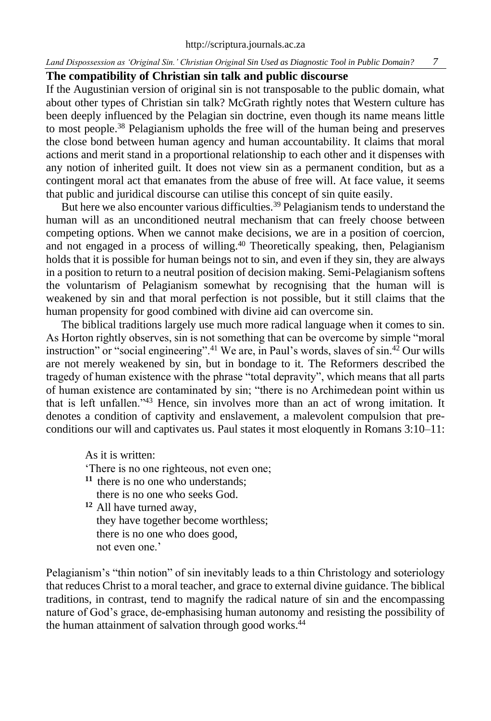## **The compatibility of Christian sin talk and public discourse**

If the Augustinian version of original sin is not transposable to the public domain, what about other types of Christian sin talk? McGrath rightly notes that Western culture has been deeply influenced by the Pelagian sin doctrine, even though its name means little to most people.<sup>38</sup> Pelagianism upholds the free will of the human being and preserves the close bond between human agency and human accountability. It claims that moral actions and merit stand in a proportional relationship to each other and it dispenses with any notion of inherited guilt. It does not view sin as a permanent condition, but as a contingent moral act that emanates from the abuse of free will. At face value, it seems that public and juridical discourse can utilise this concept of sin quite easily.

But here we also encounter various difficulties.<sup>39</sup> Pelagianism tends to understand the human will as an unconditioned neutral mechanism that can freely choose between competing options. When we cannot make decisions, we are in a position of coercion, and not engaged in a process of willing.<sup>40</sup> Theoretically speaking, then, Pelagianism holds that it is possible for human beings not to sin, and even if they sin, they are always in a position to return to a neutral position of decision making. Semi-Pelagianism softens the voluntarism of Pelagianism somewhat by recognising that the human will is weakened by sin and that moral perfection is not possible, but it still claims that the human propensity for good combined with divine aid can overcome sin.

The biblical traditions largely use much more radical language when it comes to sin. As Horton rightly observes, sin is not something that can be overcome by simple "moral instruction" or "social engineering".<sup>41</sup> We are, in Paul's words, slaves of sin.<sup>42</sup> Our wills are not merely weakened by sin, but in bondage to it. The Reformers described the tragedy of human existence with the phrase "total depravity", which means that all parts of human existence are contaminated by sin; "there is no Archimedean point within us that is left unfallen."<sup>43</sup> Hence, sin involves more than an act of wrong imitation. It denotes a condition of captivity and enslavement, a malevolent compulsion that preconditions our will and captivates us. Paul states it most eloquently in Romans 3:10–11:

As it is written:

'There is no one righteous, not even one;

- **<sup>11</sup>** there is no one who understands; there is no one who seeks God.
- **<sup>12</sup>** All have turned away, they have together become worthless; there is no one who does good, not even one.'

Pelagianism's "thin notion" of sin inevitably leads to a thin Christology and soteriology that reduces Christ to a moral teacher, and grace to external divine guidance. The biblical traditions, in contrast, tend to magnify the radical nature of sin and the encompassing nature of God's grace, de-emphasising human autonomy and resisting the possibility of the human attainment of salvation through good works.<sup>44</sup>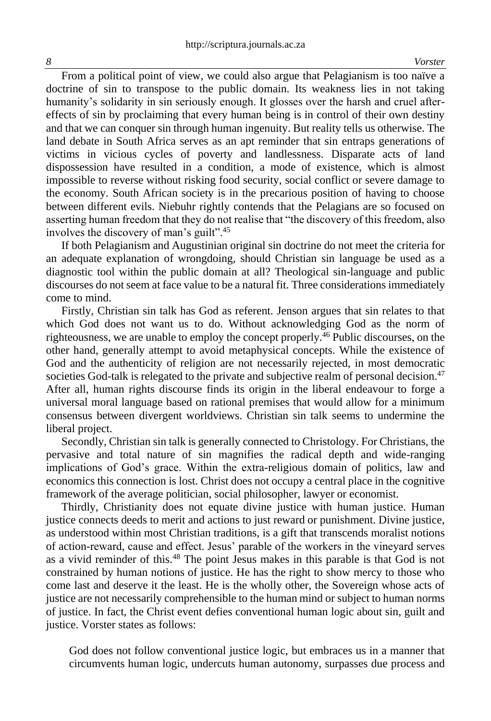From a political point of view, we could also argue that Pelagianism is too naïve a doctrine of sin to transpose to the public domain. Its weakness lies in not taking humanity's solidarity in sin seriously enough. It glosses over the harsh and cruel aftereffects of sin by proclaiming that every human being is in control of their own destiny and that we can conquer sin through human ingenuity. But reality tells us otherwise. The land debate in South Africa serves as an apt reminder that sin entraps generations of victims in vicious cycles of poverty and landlessness. Disparate acts of land dispossession have resulted in a condition, a mode of existence, which is almost impossible to reverse without risking food security, social conflict or severe damage to the economy. South African society is in the precarious position of having to choose between different evils. Niebuhr rightly contends that the Pelagians are so focused on asserting human freedom that they do not realise that "the discovery of this freedom, also involves the discovery of man's guilt".<sup>45</sup>

If both Pelagianism and Augustinian original sin doctrine do not meet the criteria for an adequate explanation of wrongdoing, should Christian sin language be used as a diagnostic tool within the public domain at all? Theological sin-language and public discourses do not seem at face value to be a natural fit. Three considerations immediately come to mind.

Firstly, Christian sin talk has God as referent. Jenson argues that sin relates to that which God does not want us to do. Without acknowledging God as the norm of righteousness, we are unable to employ the concept properly.<sup>46</sup> Public discourses, on the other hand, generally attempt to avoid metaphysical concepts. While the existence of God and the authenticity of religion are not necessarily rejected, in most democratic societies God-talk is relegated to the private and subjective realm of personal decision.<sup>47</sup> After all, human rights discourse finds its origin in the liberal endeavour to forge a universal moral language based on rational premises that would allow for a minimum consensus between divergent worldviews. Christian sin talk seems to undermine the liberal project.

Secondly, Christian sin talk is generally connected to Christology. For Christians, the pervasive and total nature of sin magnifies the radical depth and wide-ranging implications of God's grace. Within the extra-religious domain of politics, law and economics this connection is lost. Christ does not occupy a central place in the cognitive framework of the average politician, social philosopher, lawyer or economist.

Thirdly, Christianity does not equate divine justice with human justice. Human justice connects deeds to merit and actions to just reward or punishment. Divine justice, as understood within most Christian traditions, is a gift that transcends moralist notions of action-reward, cause and effect. Jesus' parable of the workers in the vineyard serves as a vivid reminder of this.<sup>48</sup> The point Jesus makes in this parable is that God is not constrained by human notions of justice. He has the right to show mercy to those who come last and deserve it the least. He is the wholly other, the Sovereign whose acts of justice are not necessarily comprehensible to the human mind or subject to human norms of justice. In fact, the Christ event defies conventional human logic about sin, guilt and justice. Vorster states as follows:

God does not follow conventional justice logic, but embraces us in a manner that circumvents human logic, undercuts human autonomy, surpasses due process and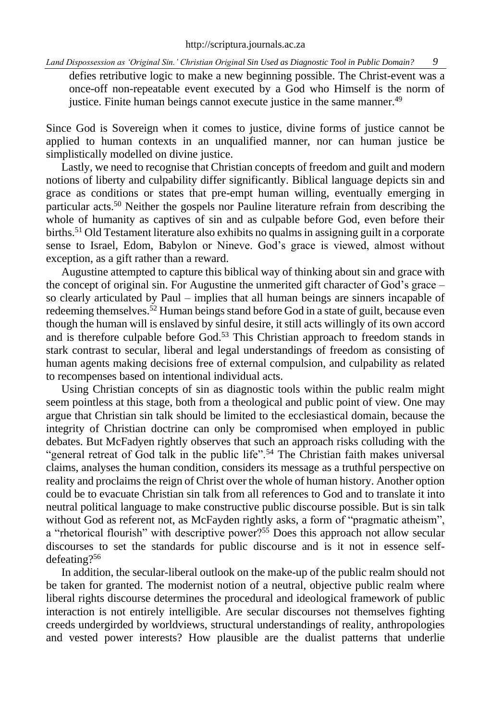defies retributive logic to make a new beginning possible. The Christ-event was a once-off non-repeatable event executed by a God who Himself is the norm of justice. Finite human beings cannot execute justice in the same manner.<sup>49</sup>

Since God is Sovereign when it comes to justice, divine forms of justice cannot be applied to human contexts in an unqualified manner, nor can human justice be simplistically modelled on divine justice.

Lastly, we need to recognise that Christian concepts of freedom and guilt and modern notions of liberty and culpability differ significantly. Biblical language depicts sin and grace as conditions or states that pre-empt human willing, eventually emerging in particular acts.<sup>50</sup> Neither the gospels nor Pauline literature refrain from describing the whole of humanity as captives of sin and as culpable before God, even before their births.<sup>51</sup> Old Testament literature also exhibits no qualms in assigning guilt in a corporate sense to Israel, Edom, Babylon or Nineve. God's grace is viewed, almost without exception, as a gift rather than a reward.

Augustine attempted to capture this biblical way of thinking about sin and grace with the concept of original sin. For Augustine the unmerited gift character of God's grace – so clearly articulated by Paul – implies that all human beings are sinners incapable of redeeming themselves.<sup>52</sup> Human beings stand before God in a state of guilt, because even though the human will is enslaved by sinful desire, it still acts willingly of its own accord and is therefore culpable before God.<sup>53</sup> This Christian approach to freedom stands in stark contrast to secular, liberal and legal understandings of freedom as consisting of human agents making decisions free of external compulsion, and culpability as related to recompenses based on intentional individual acts.

Using Christian concepts of sin as diagnostic tools within the public realm might seem pointless at this stage, both from a theological and public point of view. One may argue that Christian sin talk should be limited to the ecclesiastical domain, because the integrity of Christian doctrine can only be compromised when employed in public debates. But McFadyen rightly observes that such an approach risks colluding with the "general retreat of God talk in the public life".<sup>54</sup> The Christian faith makes universal claims, analyses the human condition, considers its message as a truthful perspective on reality and proclaims the reign of Christ over the whole of human history. Another option could be to evacuate Christian sin talk from all references to God and to translate it into neutral political language to make constructive public discourse possible. But is sin talk without God as referent not, as McFayden rightly asks, a form of "pragmatic atheism", a "rhetorical flourish" with descriptive power?<sup>55</sup> Does this approach not allow secular discourses to set the standards for public discourse and is it not in essence selfdefeating?<sup>56</sup>

In addition, the secular-liberal outlook on the make-up of the public realm should not be taken for granted. The modernist notion of a neutral, objective public realm where liberal rights discourse determines the procedural and ideological framework of public interaction is not entirely intelligible. Are secular discourses not themselves fighting creeds undergirded by worldviews, structural understandings of reality, anthropologies and vested power interests? How plausible are the dualist patterns that underlie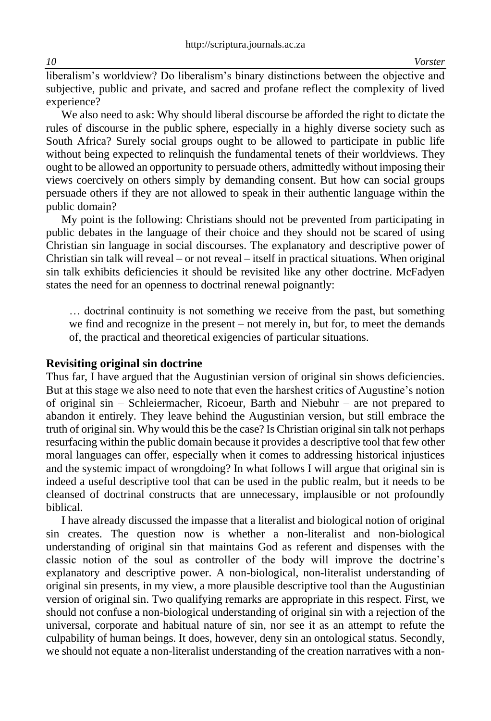liberalism's worldview? Do liberalism's binary distinctions between the objective and subjective, public and private, and sacred and profane reflect the complexity of lived experience?

We also need to ask: Why should liberal discourse be afforded the right to dictate the rules of discourse in the public sphere, especially in a highly diverse society such as South Africa? Surely social groups ought to be allowed to participate in public life without being expected to relinquish the fundamental tenets of their worldviews. They ought to be allowed an opportunity to persuade others, admittedly without imposing their views coercively on others simply by demanding consent. But how can social groups persuade others if they are not allowed to speak in their authentic language within the public domain?

My point is the following: Christians should not be prevented from participating in public debates in the language of their choice and they should not be scared of using Christian sin language in social discourses. The explanatory and descriptive power of Christian sin talk will reveal – or not reveal – itself in practical situations. When original sin talk exhibits deficiencies it should be revisited like any other doctrine. McFadyen states the need for an openness to doctrinal renewal poignantly:

… doctrinal continuity is not something we receive from the past, but something we find and recognize in the present – not merely in, but for, to meet the demands of, the practical and theoretical exigencies of particular situations.

## **Revisiting original sin doctrine**

Thus far, I have argued that the Augustinian version of original sin shows deficiencies. But at this stage we also need to note that even the harshest critics of Augustine's notion of original sin – Schleiermacher, Ricoeur, Barth and Niebuhr – are not prepared to abandon it entirely. They leave behind the Augustinian version, but still embrace the truth of original sin. Why would this be the case? Is Christian original sin talk not perhaps resurfacing within the public domain because it provides a descriptive tool that few other moral languages can offer, especially when it comes to addressing historical injustices and the systemic impact of wrongdoing? In what follows I will argue that original sin is indeed a useful descriptive tool that can be used in the public realm, but it needs to be cleansed of doctrinal constructs that are unnecessary, implausible or not profoundly biblical.

I have already discussed the impasse that a literalist and biological notion of original sin creates. The question now is whether a non-literalist and non-biological understanding of original sin that maintains God as referent and dispenses with the classic notion of the soul as controller of the body will improve the doctrine's explanatory and descriptive power. A non-biological, non-literalist understanding of original sin presents, in my view, a more plausible descriptive tool than the Augustinian version of original sin. Two qualifying remarks are appropriate in this respect. First, we should not confuse a non-biological understanding of original sin with a rejection of the universal, corporate and habitual nature of sin, nor see it as an attempt to refute the culpability of human beings. It does, however, deny sin an ontological status. Secondly, we should not equate a non-literalist understanding of the creation narratives with a non-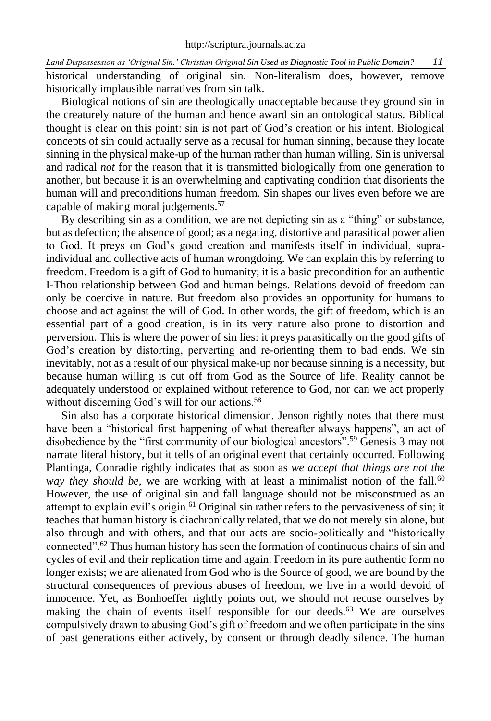historical understanding of original sin. Non-literalism does, however, remove historically implausible narratives from sin talk.

Biological notions of sin are theologically unacceptable because they ground sin in the creaturely nature of the human and hence award sin an ontological status. Biblical thought is clear on this point: sin is not part of God's creation or his intent. Biological concepts of sin could actually serve as a recusal for human sinning, because they locate sinning in the physical make-up of the human rather than human willing. Sin is universal and radical *not* for the reason that it is transmitted biologically from one generation to another, but because it is an overwhelming and captivating condition that disorients the human will and preconditions human freedom. Sin shapes our lives even before we are capable of making moral judgements.<sup>57</sup>

By describing sin as a condition, we are not depicting sin as a "thing" or substance, but as defection; the absence of good; as a negating, distortive and parasitical power alien to God. It preys on God's good creation and manifests itself in individual, supraindividual and collective acts of human wrongdoing. We can explain this by referring to freedom. Freedom is a gift of God to humanity; it is a basic precondition for an authentic I-Thou relationship between God and human beings. Relations devoid of freedom can only be coercive in nature. But freedom also provides an opportunity for humans to choose and act against the will of God. In other words, the gift of freedom, which is an essential part of a good creation, is in its very nature also prone to distortion and perversion. This is where the power of sin lies: it preys parasitically on the good gifts of God's creation by distorting, perverting and re-orienting them to bad ends. We sin inevitably, not as a result of our physical make-up nor because sinning is a necessity, but because human willing is cut off from God as the Source of life. Reality cannot be adequately understood or explained without reference to God, nor can we act properly without discerning God's will for our actions.<sup>58</sup>

Sin also has a corporate historical dimension. Jenson rightly notes that there must have been a "historical first happening of what thereafter always happens", an act of disobedience by the "first community of our biological ancestors".<sup>59</sup> Genesis 3 may not narrate literal history, but it tells of an original event that certainly occurred. Following Plantinga, Conradie rightly indicates that as soon as *we accept that things are not the way they should be,* we are working with at least a minimalist notion of the fall.<sup>60</sup> However, the use of original sin and fall language should not be misconstrued as an attempt to explain evil's origin.<sup>61</sup> Original sin rather refers to the pervasiveness of sin; it teaches that human history is diachronically related, that we do not merely sin alone, but also through and with others, and that our acts are socio-politically and "historically connected".<sup>62</sup> Thus human history has seen the formation of continuous chains of sin and cycles of evil and their replication time and again. Freedom in its pure authentic form no longer exists; we are alienated from God who is the Source of good, we are bound by the structural consequences of previous abuses of freedom, we live in a world devoid of innocence. Yet, as Bonhoeffer rightly points out, we should not recuse ourselves by making the chain of events itself responsible for our deeds.<sup>63</sup> We are ourselves compulsively drawn to abusing God's gift of freedom and we often participate in the sins of past generations either actively, by consent or through deadly silence. The human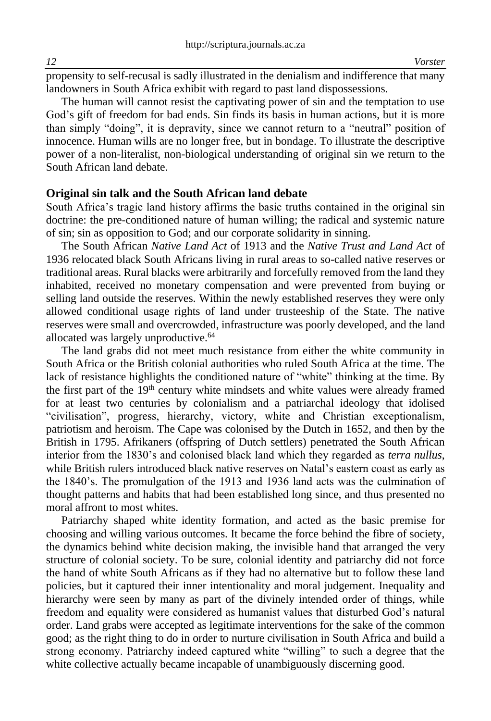propensity to self-recusal is sadly illustrated in the denialism and indifference that many landowners in South Africa exhibit with regard to past land dispossessions.

The human will cannot resist the captivating power of sin and the temptation to use God's gift of freedom for bad ends. Sin finds its basis in human actions, but it is more than simply "doing", it is depravity, since we cannot return to a "neutral" position of innocence. Human wills are no longer free, but in bondage. To illustrate the descriptive power of a non-literalist, non-biological understanding of original sin we return to the South African land debate.

#### **Original sin talk and the South African land debate**

South Africa's tragic land history affirms the basic truths contained in the original sin doctrine: the pre-conditioned nature of human willing; the radical and systemic nature of sin; sin as opposition to God; and our corporate solidarity in sinning.

The South African *Native Land Act* of 1913 and the *Native Trust and Land Act* of 1936 relocated black South Africans living in rural areas to so-called native reserves or traditional areas. Rural blacks were arbitrarily and forcefully removed from the land they inhabited, received no monetary compensation and were prevented from buying or selling land outside the reserves. Within the newly established reserves they were only allowed conditional usage rights of land under trusteeship of the State. The native reserves were small and overcrowded, infrastructure was poorly developed, and the land allocated was largely unproductive.<sup>64</sup>

The land grabs did not meet much resistance from either the white community in South Africa or the British colonial authorities who ruled South Africa at the time. The lack of resistance highlights the conditioned nature of "white" thinking at the time. By the first part of the 19th century white mindsets and white values were already framed for at least two centuries by colonialism and a patriarchal ideology that idolised "civilisation", progress, hierarchy, victory, white and Christian exceptionalism, patriotism and heroism. The Cape was colonised by the Dutch in 1652, and then by the British in 1795. Afrikaners (offspring of Dutch settlers) penetrated the South African interior from the 1830's and colonised black land which they regarded as *terra nullus*, while British rulers introduced black native reserves on Natal's eastern coast as early as the 1840's. The promulgation of the 1913 and 1936 land acts was the culmination of thought patterns and habits that had been established long since, and thus presented no moral affront to most whites.

Patriarchy shaped white identity formation, and acted as the basic premise for choosing and willing various outcomes. It became the force behind the fibre of society, the dynamics behind white decision making, the invisible hand that arranged the very structure of colonial society. To be sure, colonial identity and patriarchy did not force the hand of white South Africans as if they had no alternative but to follow these land policies, but it captured their inner intentionality and moral judgement. Inequality and hierarchy were seen by many as part of the divinely intended order of things, while freedom and equality were considered as humanist values that disturbed God's natural order. Land grabs were accepted as legitimate interventions for the sake of the common good; as the right thing to do in order to nurture civilisation in South Africa and build a strong economy. Patriarchy indeed captured white "willing" to such a degree that the white collective actually became incapable of unambiguously discerning good.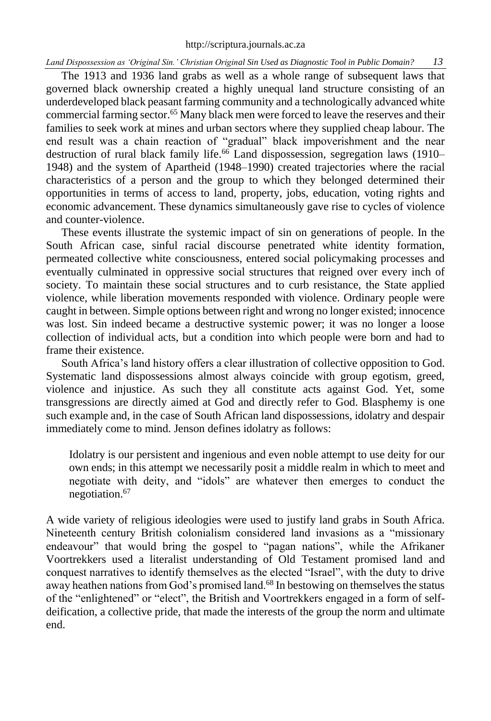The 1913 and 1936 land grabs as well as a whole range of subsequent laws that governed black ownership created a highly unequal land structure consisting of an underdeveloped black peasant farming community and a technologically advanced white commercial farming sector.<sup>65</sup> Many black men were forced to leave the reserves and their families to seek work at mines and urban sectors where they supplied cheap labour. The end result was a chain reaction of "gradual" black impoverishment and the near destruction of rural black family life.<sup>66</sup> Land dispossession, segregation laws (1910– 1948) and the system of Apartheid (1948–1990) created trajectories where the racial characteristics of a person and the group to which they belonged determined their opportunities in terms of access to land, property, jobs, education, voting rights and economic advancement. These dynamics simultaneously gave rise to cycles of violence and counter-violence.

These events illustrate the systemic impact of sin on generations of people. In the South African case, sinful racial discourse penetrated white identity formation, permeated collective white consciousness, entered social policymaking processes and eventually culminated in oppressive social structures that reigned over every inch of society. To maintain these social structures and to curb resistance, the State applied violence, while liberation movements responded with violence. Ordinary people were caught in between. Simple options between right and wrong no longer existed; innocence was lost. Sin indeed became a destructive systemic power; it was no longer a loose collection of individual acts, but a condition into which people were born and had to frame their existence.

South Africa's land history offers a clear illustration of collective opposition to God. Systematic land dispossessions almost always coincide with group egotism, greed, violence and injustice. As such they all constitute acts against God. Yet, some transgressions are directly aimed at God and directly refer to God. Blasphemy is one such example and, in the case of South African land dispossessions, idolatry and despair immediately come to mind. Jenson defines idolatry as follows:

Idolatry is our persistent and ingenious and even noble attempt to use deity for our own ends; in this attempt we necessarily posit a middle realm in which to meet and negotiate with deity, and "idols" are whatever then emerges to conduct the negotiation.<sup>67</sup>

A wide variety of religious ideologies were used to justify land grabs in South Africa. Nineteenth century British colonialism considered land invasions as a "missionary endeavour" that would bring the gospel to "pagan nations", while the Afrikaner Voortrekkers used a literalist understanding of Old Testament promised land and conquest narratives to identify themselves as the elected "Israel", with the duty to drive away heathen nations from God's promised land.<sup>68</sup> In bestowing on themselves the status of the "enlightened" or "elect", the British and Voortrekkers engaged in a form of selfdeification, a collective pride, that made the interests of the group the norm and ultimate end.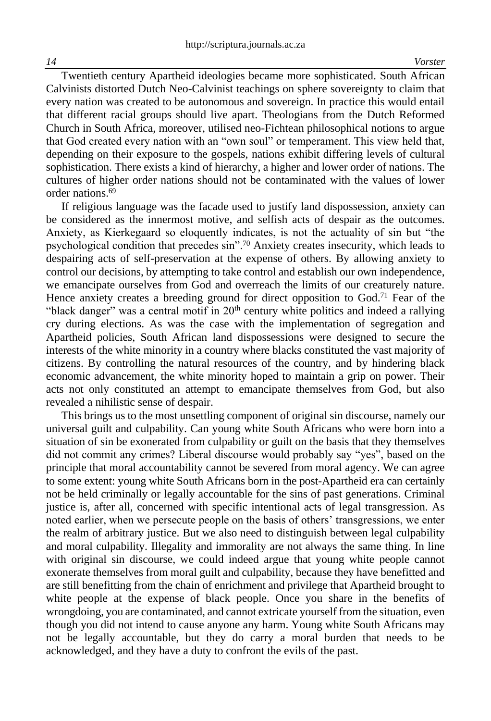Twentieth century Apartheid ideologies became more sophisticated. South African Calvinists distorted Dutch Neo-Calvinist teachings on sphere sovereignty to claim that every nation was created to be autonomous and sovereign. In practice this would entail that different racial groups should live apart. Theologians from the Dutch Reformed Church in South Africa, moreover, utilised neo-Fichtean philosophical notions to argue that God created every nation with an "own soul" or temperament. This view held that, depending on their exposure to the gospels, nations exhibit differing levels of cultural sophistication. There exists a kind of hierarchy, a higher and lower order of nations. The cultures of higher order nations should not be contaminated with the values of lower order nations.<sup>69</sup>

If religious language was the facade used to justify land dispossession, anxiety can be considered as the innermost motive, and selfish acts of despair as the outcomes. Anxiety, as Kierkegaard so eloquently indicates, is not the actuality of sin but "the psychological condition that precedes sin".<sup>70</sup> Anxiety creates insecurity, which leads to despairing acts of self-preservation at the expense of others. By allowing anxiety to control our decisions, by attempting to take control and establish our own independence, we emancipate ourselves from God and overreach the limits of our creaturely nature. Hence anxiety creates a breeding ground for direct opposition to  $God.^71}$  Fear of the "black danger" was a central motif in  $20<sup>th</sup>$  century white politics and indeed a rallying cry during elections. As was the case with the implementation of segregation and Apartheid policies, South African land dispossessions were designed to secure the interests of the white minority in a country where blacks constituted the vast majority of citizens. By controlling the natural resources of the country, and by hindering black economic advancement, the white minority hoped to maintain a grip on power. Their acts not only constituted an attempt to emancipate themselves from God, but also revealed a nihilistic sense of despair.

This brings us to the most unsettling component of original sin discourse, namely our universal guilt and culpability. Can young white South Africans who were born into a situation of sin be exonerated from culpability or guilt on the basis that they themselves did not commit any crimes? Liberal discourse would probably say "yes", based on the principle that moral accountability cannot be severed from moral agency. We can agree to some extent: young white South Africans born in the post-Apartheid era can certainly not be held criminally or legally accountable for the sins of past generations. Criminal justice is, after all, concerned with specific intentional acts of legal transgression. As noted earlier, when we persecute people on the basis of others' transgressions, we enter the realm of arbitrary justice. But we also need to distinguish between legal culpability and moral culpability. Illegality and immorality are not always the same thing. In line with original sin discourse, we could indeed argue that young white people cannot exonerate themselves from moral guilt and culpability, because they have benefitted and are still benefitting from the chain of enrichment and privilege that Apartheid brought to white people at the expense of black people. Once you share in the benefits of wrongdoing, you are contaminated, and cannot extricate yourself from the situation, even though you did not intend to cause anyone any harm. Young white South Africans may not be legally accountable, but they do carry a moral burden that needs to be acknowledged, and they have a duty to confront the evils of the past.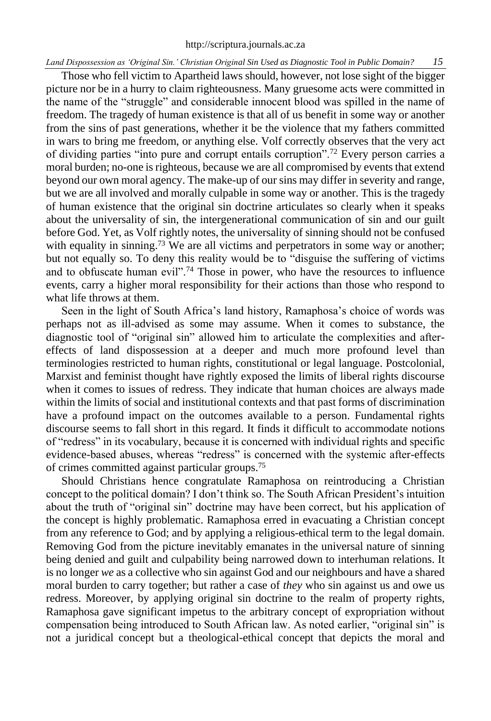Those who fell victim to Apartheid laws should, however, not lose sight of the bigger picture nor be in a hurry to claim righteousness. Many gruesome acts were committed in the name of the "struggle" and considerable innocent blood was spilled in the name of freedom. The tragedy of human existence is that all of us benefit in some way or another from the sins of past generations, whether it be the violence that my fathers committed in wars to bring me freedom, or anything else. Volf correctly observes that the very act of dividing parties "into pure and corrupt entails corruption".<sup>72</sup> Every person carries a moral burden; no-one is righteous, because we are all compromised by events that extend beyond our own moral agency. The make-up of our sins may differ in severity and range, but we are all involved and morally culpable in some way or another. This is the tragedy of human existence that the original sin doctrine articulates so clearly when it speaks about the universality of sin, the intergenerational communication of sin and our guilt before God. Yet, as Volf rightly notes, the universality of sinning should not be confused with equality in sinning.<sup>73</sup> We are all victims and perpetrators in some way or another; but not equally so. To deny this reality would be to "disguise the suffering of victims and to obfuscate human evil".<sup>74</sup> Those in power, who have the resources to influence events, carry a higher moral responsibility for their actions than those who respond to what life throws at them.

Seen in the light of South Africa's land history, Ramaphosa's choice of words was perhaps not as ill-advised as some may assume. When it comes to substance, the diagnostic tool of "original sin" allowed him to articulate the complexities and aftereffects of land dispossession at a deeper and much more profound level than terminologies restricted to human rights, constitutional or legal language. Postcolonial, Marxist and feminist thought have rightly exposed the limits of liberal rights discourse when it comes to issues of redress. They indicate that human choices are always made within the limits of social and institutional contexts and that past forms of discrimination have a profound impact on the outcomes available to a person. Fundamental rights discourse seems to fall short in this regard. It finds it difficult to accommodate notions of "redress" in its vocabulary, because it is concerned with individual rights and specific evidence-based abuses, whereas "redress" is concerned with the systemic after-effects of crimes committed against particular groups.<sup>75</sup>

Should Christians hence congratulate Ramaphosa on reintroducing a Christian concept to the political domain? I don't think so. The South African President's intuition about the truth of "original sin" doctrine may have been correct, but his application of the concept is highly problematic. Ramaphosa erred in evacuating a Christian concept from any reference to God; and by applying a religious-ethical term to the legal domain. Removing God from the picture inevitably emanates in the universal nature of sinning being denied and guilt and culpability being narrowed down to interhuman relations. It is no longer *we* as a collective who sin against God and our neighbours and have a shared moral burden to carry together; but rather a case of *they* who sin against us and owe us redress. Moreover, by applying original sin doctrine to the realm of property rights, Ramaphosa gave significant impetus to the arbitrary concept of expropriation without compensation being introduced to South African law. As noted earlier, "original sin" is not a juridical concept but a theological-ethical concept that depicts the moral and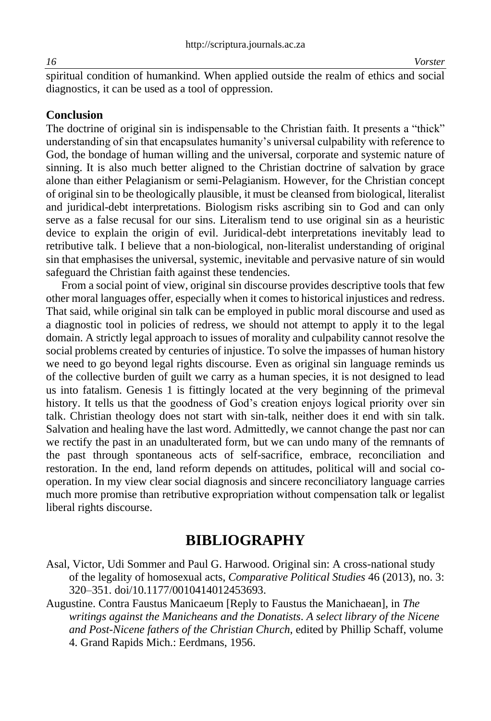spiritual condition of humankind. When applied outside the realm of ethics and social diagnostics, it can be used as a tool of oppression.

#### **Conclusion**

The doctrine of original sin is indispensable to the Christian faith. It presents a "thick" understanding of sin that encapsulates humanity's universal culpability with reference to God, the bondage of human willing and the universal, corporate and systemic nature of sinning. It is also much better aligned to the Christian doctrine of salvation by grace alone than either Pelagianism or semi-Pelagianism. However, for the Christian concept of original sin to be theologically plausible, it must be cleansed from biological, literalist and juridical-debt interpretations. Biologism risks ascribing sin to God and can only serve as a false recusal for our sins. Literalism tend to use original sin as a heuristic device to explain the origin of evil. Juridical-debt interpretations inevitably lead to retributive talk. I believe that a non-biological, non-literalist understanding of original sin that emphasises the universal, systemic, inevitable and pervasive nature of sin would safeguard the Christian faith against these tendencies.

From a social point of view, original sin discourse provides descriptive tools that few other moral languages offer, especially when it comes to historical injustices and redress. That said, while original sin talk can be employed in public moral discourse and used as a diagnostic tool in policies of redress, we should not attempt to apply it to the legal domain. A strictly legal approach to issues of morality and culpability cannot resolve the social problems created by centuries of injustice. To solve the impasses of human history we need to go beyond legal rights discourse. Even as original sin language reminds us of the collective burden of guilt we carry as a human species, it is not designed to lead us into fatalism. Genesis 1 is fittingly located at the very beginning of the primeval history. It tells us that the goodness of God's creation enjoys logical priority over sin talk. Christian theology does not start with sin-talk, neither does it end with sin talk. Salvation and healing have the last word. Admittedly, we cannot change the past nor can we rectify the past in an unadulterated form, but we can undo many of the remnants of the past through spontaneous acts of self-sacrifice, embrace, reconciliation and restoration. In the end, land reform depends on attitudes, political will and social cooperation. In my view clear social diagnosis and sincere reconciliatory language carries much more promise than retributive expropriation without compensation talk or legalist liberal rights discourse.

## **BIBLIOGRAPHY**

- Asal, Victor, Udi Sommer and Paul G. Harwood. Original sin: A cross-national study of the legality of homosexual acts, *Comparative Political Studies* 46 (2013), no. 3: 320–351. doi/10.1177/0010414012453693.
- Augustine. Contra Faustus Manicaeum [Reply to Faustus the Manichaean], in *The writings against the Manicheans and the Donatists*. *A select library of the Nicene and Post-Nicene fathers of the Christian Church*, edited by Phillip Schaff, volume 4. Grand Rapids Mich.: Eerdmans, 1956.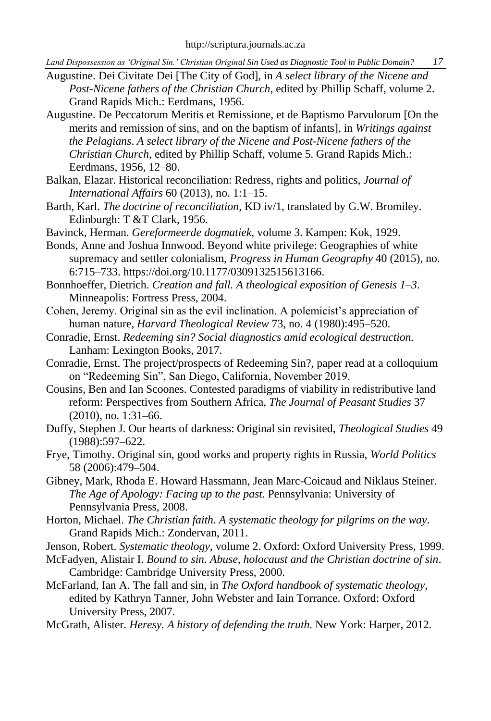- Augustine. Dei Civitate Dei [The City of God], in *A select library of the Nicene and Post-Nicene fathers of the Christian Church*, edited by Phillip Schaff, volume 2. Grand Rapids Mich.: Eerdmans, 1956.
- Augustine. De Peccatorum Meritis et Remissione, et de Baptismo Parvulorum [On the merits and remission of sins, and on the baptism of infants], in *Writings against the Pelagians*. *A select library of the Nicene and Post-Nicene fathers of the Christian Church*, edited by Phillip Schaff, volume 5. Grand Rapids Mich.: Eerdmans, 1956, 12–80.
- Balkan, Elazar. Historical reconciliation: Redress, rights and politics, *Journal of International Affairs* 60 (2013), no. 1:1–15.
- Barth, Karl. *The doctrine of reconciliation*, KD iv/1, translated by G.W. Bromiley. Edinburgh: T &T Clark, 1956.
- Bavinck, Herman. *Gereformeerde dogmatiek*, volume 3. Kampen: Kok, 1929.
- Bonds, Anne and Joshua Innwood. Beyond white privilege: Geographies of white supremacy and settler colonialism, *Progress in Human Geography* 40 (2015), no. 6:715–733. https://doi.org/10.1177/0309132515613166.
- Bonnhoeffer, Dietrich. *Creation and fall. A theological exposition of Genesis 1*–*3*. Minneapolis: Fortress Press, 2004.
- Cohen, Jeremy. Original sin as the evil inclination. A polemicist's appreciation of human nature, *Harvard Theological Review* 73, no. 4 (1980):495–520.
- Conradie, Ernst. *Redeeming sin? Social diagnostics amid ecological destruction.* Lanham: Lexington Books, 2017.
- Conradie, Ernst. The project/prospects of Redeeming Sin?, paper read at a colloquium on "Redeeming Sin", San Diego, California, November 2019.
- Cousins, Ben and Ian Scoones. Contested paradigms of viability in redistributive land reform: Perspectives from Southern Africa, *The Journal of Peasant Studies* 37 (2010), no. 1:31–66.
- Duffy, Stephen J. Our hearts of darkness: Original sin revisited, *Theological Studies* 49 (1988):597–622.
- Frye, Timothy. Original sin, good works and property rights in Russia, *World Politics* 58 (2006):479–504.
- Gibney, Mark, Rhoda E. Howard Hassmann, Jean Marc-Coicaud and Niklaus Steiner. *The Age of Apology: Facing up to the past.* Pennsylvania: University of Pennsylvania Press, 2008.
- Horton, Michael. *The Christian faith. A systematic theology for pilgrims on the way*. Grand Rapids Mich.: Zondervan, 2011.
- Jenson, Robert. *Systematic theology*, volume 2. Oxford: Oxford University Press, 1999.
- McFadyen, Alistair I. *Bound to sin. Abuse, holocaust and the Christian doctrine of sin*. Cambridge: Cambridge University Press, 2000.
- McFarland, Ian A. The fall and sin, in *The Oxford handbook of systematic theology*, edited by Kathryn Tanner, John Webster and Iain Torrance. Oxford: Oxford University Press, 2007.
- McGrath, Alister. *Heresy. A history of defending the truth*. New York: Harper, 2012.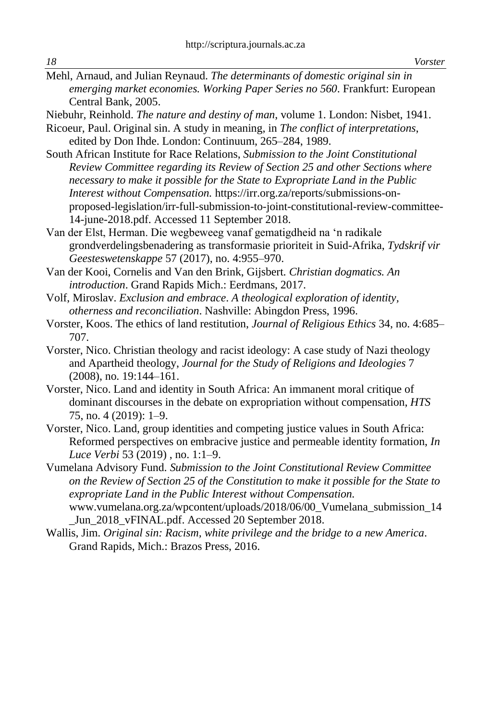Mehl, Arnaud, and Julian Reynaud. *The determinants of domestic original sin in emerging market economies. Working Paper Series no 560*. Frankfurt: European Central Bank, 2005.

Niebuhr, Reinhold. *The nature and destiny of man*, volume 1. London: Nisbet, 1941.

Ricoeur, Paul. Original sin. A study in meaning, in *The conflict of interpretations*, edited by Don Ihde. London: Continuum, 265–284, 1989.

South African Institute for Race Relations, *Submission to the Joint Constitutional Review Committee regarding its Review of Section 25 and other Sections where necessary to make it possible for the State to Expropriate Land in the Public Interest without Compensation.* [https://irr.org.za/reports/submissions-on](https://irr.org.za/reports/submissions-on-proposed-legislation/irr-full-submission-to-joint-constitutional-review-committee-14-june-2018.pdf)[proposed-legislation/irr-full-submission-to-joint-constitutional-review-committee-](https://irr.org.za/reports/submissions-on-proposed-legislation/irr-full-submission-to-joint-constitutional-review-committee-14-june-2018.pdf)[14-june-2018.pdf.](https://irr.org.za/reports/submissions-on-proposed-legislation/irr-full-submission-to-joint-constitutional-review-committee-14-june-2018.pdf) Accessed 11 September 2018.

Van der Elst, Herman. Die wegbeweeg vanaf gematigdheid na 'n radikale grondverdelingsbenadering as transformasie prioriteit in Suid-Afrika, *Tydskrif vir Geesteswetenskappe* 57 (2017), no. 4:955–970.

Van der Kooi, Cornelis and Van den Brink, Gijsbert. *Christian dogmatics. An introduction*. Grand Rapids Mich.: Eerdmans, 2017.

Volf, Miroslav. *Exclusion and embrace*. *A theological exploration of identity, otherness and reconciliation*. Nashville: Abingdon Press, 1996.

Vorster, Koos. The ethics of land restitution, *Journal of Religious Ethics* 34, no. 4:685– 707.

- Vorster, Nico. Christian theology and racist ideology: A case study of Nazi theology and Apartheid theology, *Journal for the Study of Religions and Ideologies* 7 (2008), no. 19:144–161.
- Vorster, Nico. Land and identity in South Africa: An immanent moral critique of dominant discourses in the debate on expropriation without compensation, *HTS*  75, no. 4 (2019): 1–9.
- Vorster, Nico. Land, group identities and competing justice values in South Africa: Reformed perspectives on embracive justice and permeable identity formation, *In Luce Verbi* 53 (2019) , no. 1:1–9.
- Vumelana Advisory Fund. *Submission to the Joint Constitutional Review Committee on the Review of Section 25 of the Constitution to make it possible for the State to expropriate Land in the Public Interest without Compensation.* [www.vumelana.org.za/wpcontent/uploads/2018/06/00\\_Vumelana\\_submission\\_14](http://www.vumelana.org.za/wpcontent/uploads/2018/06/00_Vumelana_submission_14_Jun_2018_vFINAL.pdf) Jun 2018 vFINAL.pdf. Accessed 20 September 2018.

Wallis, Jim. *Original sin: Racism, white privilege and the bridge to a new America*. Grand Rapids, Mich.: Brazos Press, 2016.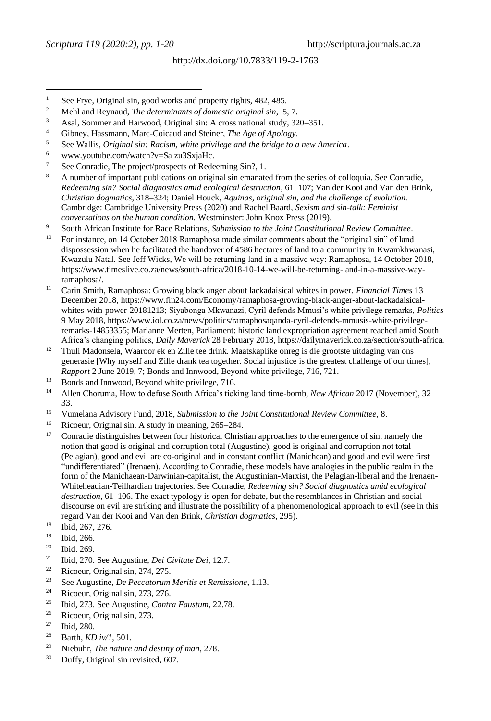- <sup>1</sup> See Frye, Original sin, good works and property rights,  $482, 485$ .<br><sup>2</sup> Mill and Daward *The Maturgian state of hourstic pricing latin* 5
- <sup>2</sup> Mehl and Reynaud, *The determinants of domestic original sin*, 5, 7.<br><sup>3</sup> Agel Semmas and Harvard Original sin, A grees patiently that is 22
- $3$  Asal, Sommer and Harwood, Original sin: A cross national study,  $320-351$ .
- <sup>4</sup> Gibney, Hassmann, Marc-Coicaud and Steiner, *The Age of Apology*.
- <sup>5</sup> See Wallis, *Original sin: Racism, white privilege and the bridge to a new America*.
- <sup>6</sup> [www.youtube.com/watch?v=Sa](http://www.youtube.com/watch?v=Sa) zu3SxjaHc.
- See Conradie, The project/prospects of Redeeming Sin?, 1.
- <sup>8</sup> A number of important publications on original sin emanated from the series of colloquia. See Conradie, *Redeeming sin? Social diagnostics amid ecological destruction*, 61–107; Van der Kooi and Van den Brink, *Christian dogmatics*, 318–324; Daniel Houck, *Aquinas, original sin, and the challenge of evolution.*  Cambridge: Cambridge University Press (2020) and Rachel Baard, *Sexism and sin-talk: Feminist conversations on the human condition.* Westminster: John Knox Press (2019).
- <sup>9</sup> South African Institute for Race Relations, *Submission to the Joint Constitutional Review Committee*.
- <sup>10</sup> For instance, on 14 October 2018 Ramaphosa made similar comments about the "original sin" of land dispossession when he facilitated the handover of 4586 hectares of land to a community in Kwamkhwanasi, Kwazulu Natal. See Jeff Wicks, We will be returning land in a massive way: Ramaphosa, 14 October 2018, https://www.timeslive.co.za/news/south-africa/2018-10-14-we-will-be-returning-land-in-a-massive-wayramaphosa/.
- <sup>11</sup> Carin Smith, Ramaphosa: Growing black anger about lackadaisical whites in power. *Financial Times* 13 December 2018[, https://www.fin24.com/Economy/ramaphosa-growing-black-anger-about-lackadaisical](https://www.fin24.com/Economy/ramaphosa-growing-black-anger-about-lackadaisical-whites-with-power-20181213)[whites-with-power-20181213;](https://www.fin24.com/Economy/ramaphosa-growing-black-anger-about-lackadaisical-whites-with-power-20181213) Siyabonga Mkwanazi, Cyril defends Mmusi's white privilege remarks, *Politics* 9 May 2018[, https://www.iol.co.za/news/politics/ramaphosaqanda-cyril-defends-mmusis-white-privilege](https://www.iol.co.za/news/politics/ramaphosaqanda-cyril-defends-mmusis-white-privilege-remarks-14853355)[remarks-14853355;](https://www.iol.co.za/news/politics/ramaphosaqanda-cyril-defends-mmusis-white-privilege-remarks-14853355) Marianne Merten, Parliament: historic land expropriation agreement reached amid South Africa's changing politics, *Daily Maverick* 28 February 2018[, https://dailymaverick.co.za/section/south-africa.](https://dailymaverick.co.za/section/south-africa)
- <sup>12</sup> Thuli Madonsela, Waaroor ek en Zille tee drink. Maatskaplike onreg is die grootste uitdaging van ons generasie [Why myself and Zille drank tea together. Social injustice is the greatest challenge of our times], *Rapport* 2 June 2019, 7; Bonds and Innwood, Beyond white privilege, 716, 721.
- $^{13}$  Bonds and Innwood, Beyond white privilege, 716.
- <sup>14</sup> Allen Choruma, How to defuse South Africa's ticking land time-bomb, *New African* 2017 (November), 32– 33.
- <sup>15</sup> Vumelana Advisory Fund, 2018, *Submission to the Joint Constitutional Review Committee*, 8.<br><sup>16</sup> Piscous Original sin, A styly in meaning 265, 284
- <sup>16</sup> Ricoeur, Original sin. A study in meaning, 265–284.
- Conradie distinguishes between four historical Christian approaches to the emergence of sin, namely the notion that good is original and corruption total (Augustine), good is original and corruption not total (Pelagian), good and evil are co-original and in constant conflict (Manichean) and good and evil were first "undifferentiated" (Irenaen). According to Conradie, these models have analogies in the public realm in the form of the Manichaean-Darwinian-capitalist, the Augustinian-Marxist, the Pelagian-liberal and the Irenaen-Whiteheadian-Teilhardian trajectories. See Conradie, *Redeeming sin? Social diagnostics amid ecological destruction*, 61–106. The exact typology is open for debate, but the resemblances in Christian and social discourse on evil are striking and illustrate the possibility of a phenomenological approach to evil (see in this regard Van der Kooi and Van den Brink, *Christian dogmatics*, 295).
- <sup>18</sup> Ibid, 267, 276.
- <sup>19</sup> Ibid, 266.
- $\frac{20}{21}$  Ibid. 269.
- <sup>21</sup> Ibid, 270. See Augustine, *Dei Civitate Dei*, 12.7.
- <sup>22</sup> Ricoeur, Original sin, 274, 275.
- <sup>23</sup> See Augustine, *De Peccatorum Meritis et Remissione*, 1.13.
- <sup>24</sup> Ricoeur, Original sin, 273, 276.
- <sup>25</sup> Ibid, 273. See Augustine, *Contra Faustum*, 22.78.
- <sup>26</sup> Ricoeur, Original sin, 273.
- <sup>27</sup> Ibid, 280.
- <sup>28</sup> Barth, *KD iv/1*, 501.
- <sup>29</sup> Niebuhr, *The nature and destiny of man*, 278.
- <sup>30</sup> Duffy, Original sin revisited, 607.